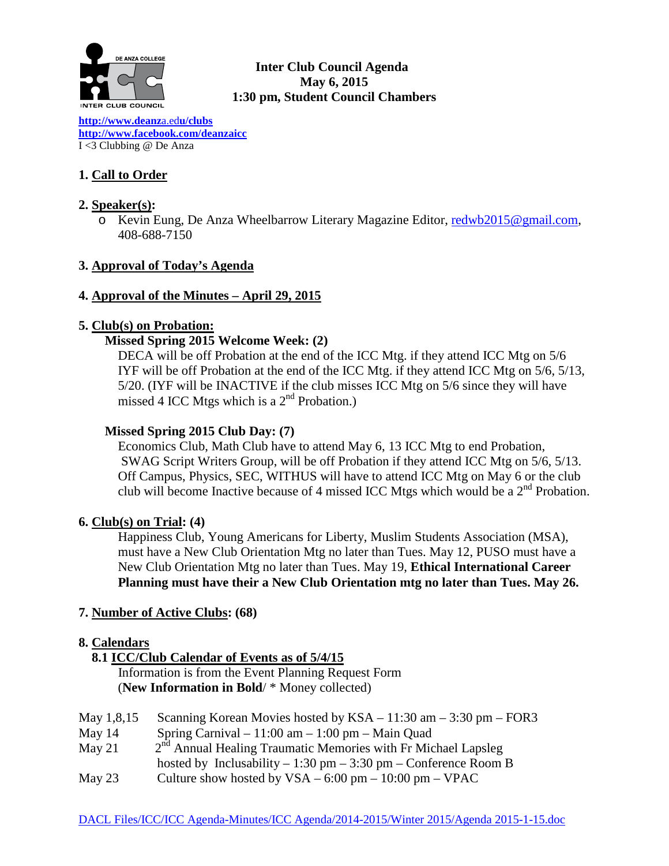

## **Inter Club Council Agenda May 6, 2015 1:30 pm, Student Council Chambers**

**[http://www.deanz](http://www.deanza.edu/clubs)**a.ed**u/clubs [http://www.facebook.com/deanzaicc](http://www.facebook.com/home.php%23!/group.php?gid=59034552686)** I <3 Clubbing @ De Anza

# **1. Call to Order**

# **2. Speaker(s):**

o Kevin Eung, De Anza Wheelbarrow Literary Magazine Editor, [redwb2015@gmail.com,](mailto:redwb2015@gmail.com) 408-688-7150

# **3. Approval of Today's Agenda**

## **4. Approval of the Minutes – April 29, 2015**

## **5. Club(s) on Probation:**

## **Missed Spring 2015 Welcome Week: (2)**

DECA will be off Probation at the end of the ICC Mtg. if they attend ICC Mtg on 5/6 IYF will be off Probation at the end of the ICC Mtg. if they attend ICC Mtg on 5/6, 5/13, 5/20. (IYF will be INACTIVE if the club misses ICC Mtg on 5/6 since they will have missed 4 ICC Mtgs which is a  $2<sup>nd</sup>$  Probation.)

## **Missed Spring 2015 Club Day: (7)**

Economics Club, Math Club have to attend May 6, 13 ICC Mtg to end Probation, SWAG Script Writers Group, will be off Probation if they attend ICC Mtg on 5/6, 5/13. Off Campus, Physics, SEC, WITHUS will have to attend ICC Mtg on May 6 or the club club will become Inactive because of 4 missed ICC Mtgs which would be a 2nd Probation.

## **6. Club(s) on Trial: (4)**

Happiness Club, Young Americans for Liberty, Muslim Students Association (MSA), must have a New Club Orientation Mtg no later than Tues. May 12, PUSO must have a New Club Orientation Mtg no later than Tues. May 19, **Ethical International Career Planning must have their a New Club Orientation mtg no later than Tues. May 26.**

## **7. Number of Active Clubs: (68)**

## **8. Calendars**

## **8.1 ICC/Club Calendar of Events as of 5/4/15**

 Information is from the Event Planning Request Form (**New Information in Bold**/ \* Money collected)

| May 1,8,15 | Scanning Korean Movies hosted by $KSA - 11:30$ am $- 3:30$ pm $-$ FOR3   |
|------------|--------------------------------------------------------------------------|
| May $14$   | Spring Carnival $-11:00$ am $-1:00$ pm $-$ Main Quad                     |
| May 21     | $2nd$ Annual Healing Traumatic Memories with Fr Michael Lapsleg          |
|            | hosted by Inclusability – 1:30 pm – 3:30 pm – Conference Room B          |
| May $23$   | Culture show hosted by $VSA - 6:00 \text{ pm} - 10:00 \text{ pm} - VPAC$ |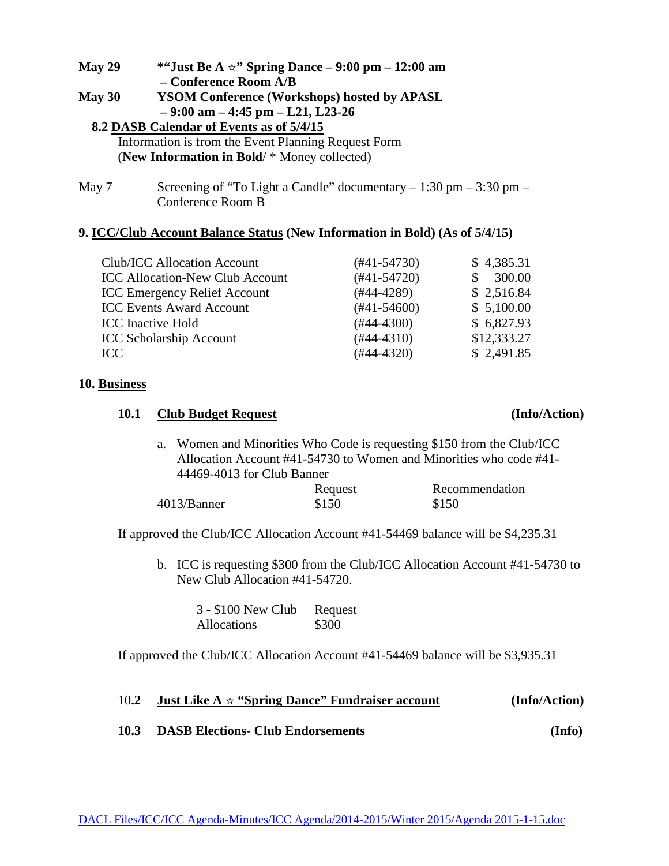| *"Just Be A $\star$ " Spring Dance – 9:00 pm – 12:00 am<br>May 29 |  |  |
|-------------------------------------------------------------------|--|--|
| - Conference Room A/B                                             |  |  |
| <b>YSOM Conference (Workshops) hosted by APASL</b>                |  |  |
| $-9:00$ am $-4:45$ pm $-121$ , L23-26                             |  |  |
| 8.2 DASB Calendar of Events as of 5/4/15                          |  |  |
| Information is from the Event Planning Request Form               |  |  |
| (New Information in Bold/ * Money collected)                      |  |  |
|                                                                   |  |  |
|                                                                   |  |  |

May 7 Screening of "To Light a Candle" documentary  $-1:30$  pm  $-3:30$  pm  $-$ Conference Room B

## **9. ICC/Club Account Balance Status (New Information in Bold) (As of 5/4/15)**

| <b>Club/ICC Allocation Account</b>     | $(#41-54730)$ | \$4,385.31  |
|----------------------------------------|---------------|-------------|
| <b>ICC Allocation-New Club Account</b> | $(#41-54720)$ | 300.00      |
| <b>ICC Emergency Relief Account</b>    | $(#44-4289)$  | \$2,516.84  |
| <b>ICC Events Award Account</b>        | $(#41-54600)$ | \$5,100.00  |
| <b>ICC</b> Inactive Hold               | $(#44-4300)$  | \$6,827.93  |
| <b>ICC Scholarship Account</b>         | $(#44-4310)$  | \$12,333.27 |
| ICC.                                   | $(#44-4320)$  | \$2,491.85  |

#### **10. Business**

#### **10.1 Club Budget Request (Info/Action)**

# a. Women and Minorities Who Code is requesting \$150 from the Club/ICC Allocation Account #41-54730 to Women and Minorities who code #41- 44469-4013 for Club Banner

|             | Request | Recommendation |
|-------------|---------|----------------|
| 4013/Banner | \$150   | \$150          |

If approved the Club/ICC Allocation Account #41-54469 balance will be \$4,235.31

b. ICC is requesting \$300 from the Club/ICC Allocation Account #41-54730 to New Club Allocation #41-54720.

3 - \$100 New Club Request Allocations \$300

If approved the Club/ICC Allocation Account #41-54469 balance will be \$3,935.31

| 10.2 | <b>Just Like A</b> $\star$ "Spring Dance" Fundraiser account | (Info/Action) |
|------|--------------------------------------------------------------|---------------|
| 10.3 | <b>DASB Elections- Club Endorsements</b>                     | (Info)        |